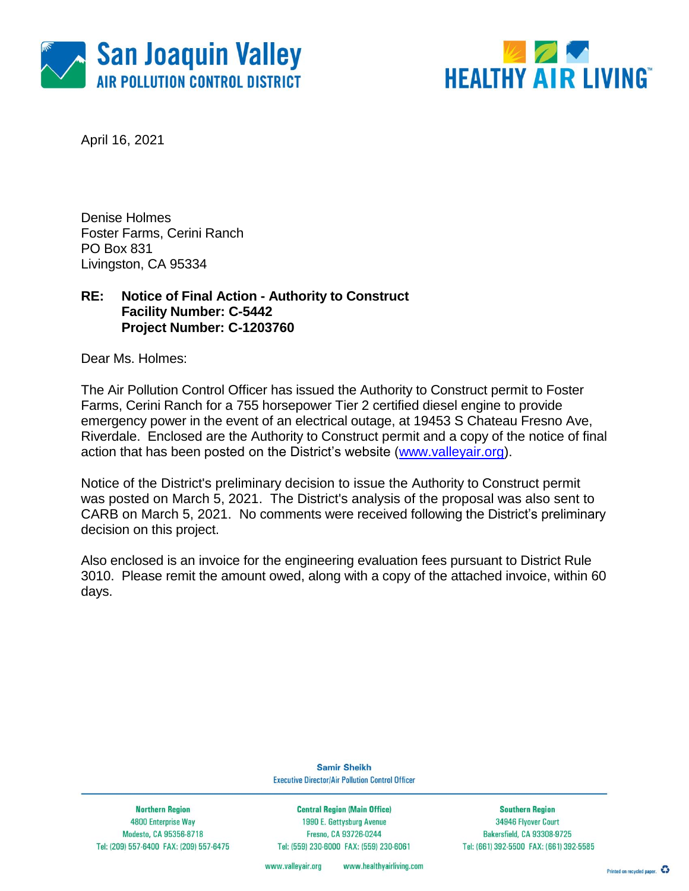



April 16, 2021

Denise Holmes Foster Farms, Cerini Ranch PO Box 831 Livingston, CA 95334

### **RE: Notice of Final Action - Authority to Construct Facility Number: C-5442 Project Number: C-1203760**

Dear Ms. Holmes:

The Air Pollution Control Officer has issued the Authority to Construct permit to Foster Farms, Cerini Ranch for a 755 horsepower Tier 2 certified diesel engine to provide emergency power in the event of an electrical outage, at 19453 S Chateau Fresno Ave, Riverdale. Enclosed are the Authority to Construct permit and a copy of the notice of final action that has been posted on the District's website [\(www.valleyair.org\)](http://www.valleyair.org/).

Notice of the District's preliminary decision to issue the Authority to Construct permit was posted on March 5, 2021. The District's analysis of the proposal was also sent to CARB on March 5, 2021. No comments were received following the District's preliminary decision on this project.

Also enclosed is an invoice for the engineering evaluation fees pursuant to District Rule 3010. Please remit the amount owed, along with a copy of the attached invoice, within 60 days.

> **Samir Sheikh Executive Director/Air Pollution Control Officer**

**Northern Region** 4800 Enterprise Way Modesto, CA 95356-8718 Tel: (209) 557-6400 FAX: (209) 557-6475

**Central Region (Main Office)** 1990 E. Gettysburg Avenue Fresno, CA 93726-0244 Tel: (559) 230-6000 FAX: (559) 230-6061

**Southern Region** 34946 Flyover Court Bakersfield, CA 93308-9725 Tel: (661) 392-5500 FAX: (661) 392-5585

www.healthyairliving.com www.valleyair.org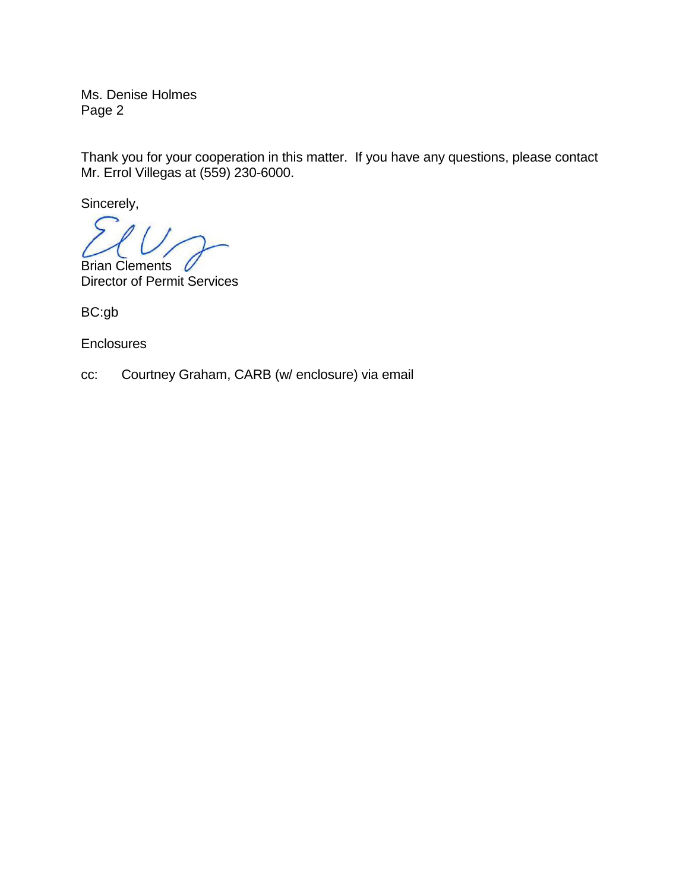Ms. Denise Holmes Page 2

Thank you for your cooperation in this matter. If you have any questions, please contact Mr. Errol Villegas at (559) 230-6000.

Sincerely,

Brian Clements Director of Permit Services

BC:gb

**Enclosures** 

cc: Courtney Graham, CARB (w/ enclosure) via email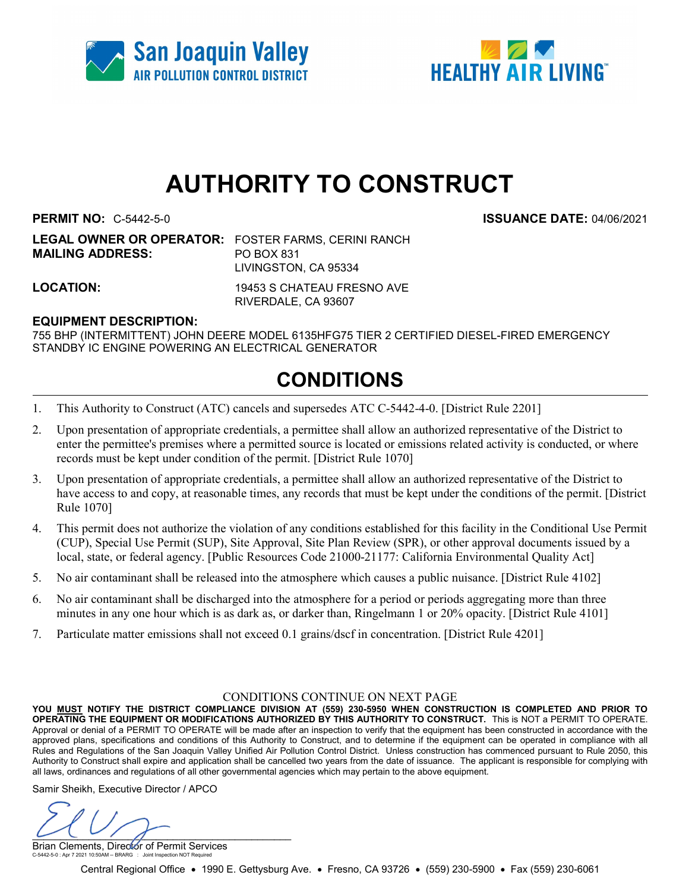



# AUTHORITY TO CONSTRUCT

PERMIT NO: C-5442-5-0 ISSUANCE DATE: 04/06/2021

LEGAL OWNER OR OPERATOR: FOSTER FARMS, CERINI RANCH MAILING ADDRESS: PO BOX 831 LIVINGSTON, CA 95334

LOCATION: 19453 S CHATEAU FRESNO AVE RIVERDALE, CA 93607

#### EQUIPMENT DESCRIPTION:

755 BHP (INTERMITTENT) JOHN DEERE MODEL 6135HFG75 TIER 2 CERTIFIED DIESEL-FIRED EMERGENCY STANDBY IC ENGINE POWERING AN ELECTRICAL GENERATOR

## CONDITIONS

- 1. This Authority to Construct (ATC) cancels and supersedes ATC C-5442-4-0. [District Rule 2201]
- 2. Upon presentation of appropriate credentials, a permittee shall allow an authorized representative of the District to enter the permittee's premises where a permitted source is located or emissions related activity is conducted, or where records must be kept under condition of the permit. [District Rule 1070]
- 3. Upon presentation of appropriate credentials, a permittee shall allow an authorized representative of the District to have access to and copy, at reasonable times, any records that must be kept under the conditions of the permit. [District Rule 1070]
- 4. This permit does not authorize the violation of any conditions established for this facility in the Conditional Use Permit (CUP), Special Use Permit (SUP), Site Approval, Site Plan Review (SPR), or other approval documents issued by a local, state, or federal agency. [Public Resources Code 21000-21177: California Environmental Quality Act]
- 5. No air contaminant shall be released into the atmosphere which causes a public nuisance. [District Rule 4102]
- 6. No air contaminant shall be discharged into the atmosphere for a period or periods aggregating more than three minutes in any one hour which is as dark as, or darker than, Ringelmann 1 or 20% opacity. [District Rule 4101]
- 7. Particulate matter emissions shall not exceed 0.1 grains/dscf in concentration. [District Rule 4201]

#### CONDITIONS CONTINUE ON NEXT PAGE

YOU MUST NOTIFY THE DISTRICT COMPLIANCE DIVISION AT (559) 230-5950 WHEN CONSTRUCTION IS COMPLETED AND PRIOR TO OPERATING THE EQUIPMENT OR MODIFICATIONS AUTHORIZED BY THIS AUTHORITY TO CONSTRUCT. This is NOT a PERMIT TO OPERATE. Approval or denial of a PERMIT TO OPERATE will be made after an inspection to verify that the equipment has been constructed in accordance with the approved plans, specifications and conditions of this Authority to Construct, and to determine if the equipment can be operated in compliance with all Rules and Regulations of the San Joaquin Valley Unified Air Pollution Control District. Unless construction has commenced pursuant to Rule 2050, this Authority to Construct shall expire and application shall be cancelled two years from the date of issuance. The applicant is responsible for complying with all laws, ordinances and regulations of all other governmental agencies which may pertain to the above equipment.

Samir Sheikh, Executive Director / APCO

 $\cup$ 

Brian Clements, Director of Permit Services C-5442-5-0 : Apr 7 2021 10:50AM -- BRARG : Joint Inspection NOT Required

Central Regional Office • 1990 E. Gettysburg Ave. • Fresno, CA 93726 • (559) 230-5900 • Fax (559) 230-6061